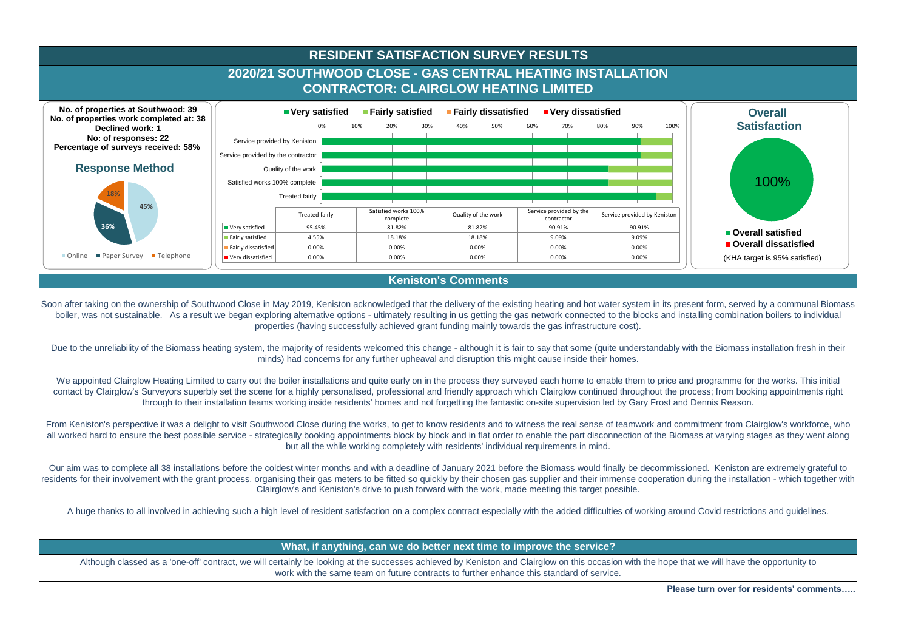

Soon after taking on the ownership of Southwood Close in May 2019, Keniston acknowledged that the delivery of the existing heating and hot water system in its present form, served by a communal Biomass boiler, was not sustainable. As a result we began exploring alternative options - ultimately resulting in us getting the gas network connected to the blocks and installing combination boilers to individual properties (having successfully achieved grant funding mainly towards the gas infrastructure cost).

Due to the unreliability of the Biomass heating system, the majority of residents welcomed this change - although it is fair to say that some (quite understandably with the Biomass installation fresh in their minds) had concerns for any further upheaval and disruption this might cause inside their homes.

We appointed Clairglow Heating Limited to carry out the boiler installations and quite early on in the process they surveyed each home to enable them to price and programme for the works. This initial contact by Clairglow's Surveyors superbly set the scene for a highly personalised, professional and friendly approach which Clairglow continued throughout the process; from booking appointments right through to their installation teams working inside residents' homes and not forgetting the fantastic on-site supervision led by Gary Frost and Dennis Reason.

From Keniston's perspective it was a delight to visit Southwood Close during the works, to get to know residents and to witness the real sense of teamwork and commitment from Clairglow's workforce, who all worked hard to ensure the best possible service - strategically booking appointments block by block and in flat order to enable the part disconnection of the Biomass at varying stages as they went along but all the while working completely with residents' individual requirements in mind.

Our aim was to complete all 38 installations before the coldest winter months and with a deadline of January 2021 before the Biomass would finally be decommissioned. Keniston are extremely grateful to residents for their involvement with the grant process, organising their gas meters to be fitted so quickly by their chosen gas supplier and their immense cooperation during the installation - which together with Clairglow's and Keniston's drive to push forward with the work, made meeting this target possible.

A huge thanks to all involved in achieving such a high level of resident satisfaction on a complex contract especially with the added difficulties of working around Covid restrictions and guidelines.

## **What, if anything, can we do better next time to improve the service?**

Although classed as a 'one-off' contract, we will certainly be looking at the successes achieved by Keniston and Clairglow on this occasion with the hope that we will have the opportunity to work with the same team on future contracts to further enhance this standard of service.

**Please turn over for residents' comments…..**